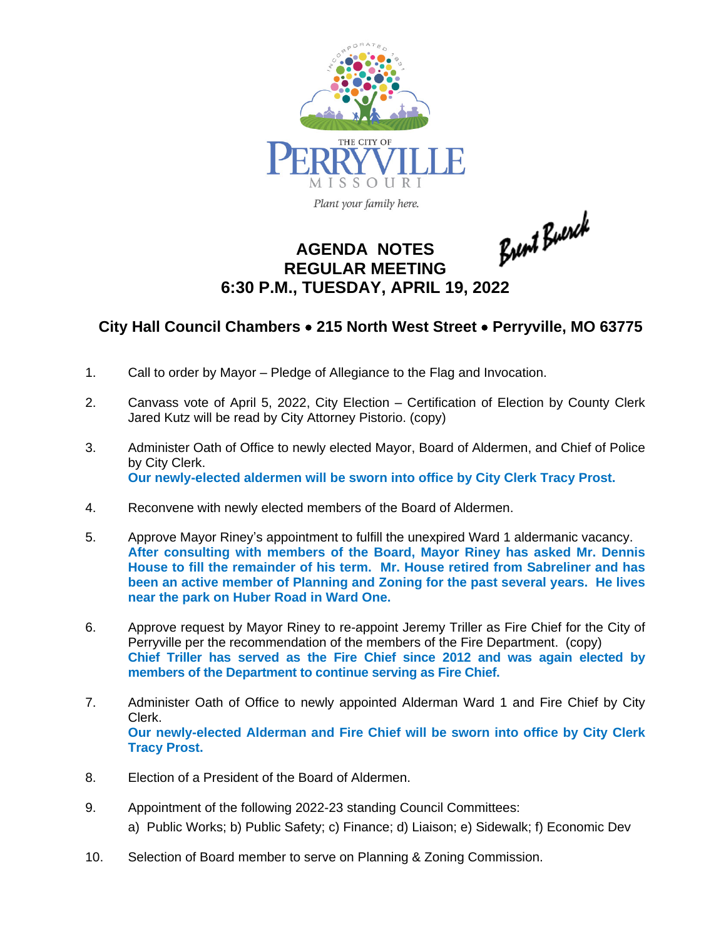

Plant your family here.

## Brent Buerck **AGENDA NOTES REGULAR MEETING 6:30 P.M., TUESDAY, APRIL 19, 2022**

## **City Hall Council Chambers** · **215 North West Street** · **Perryville, MO 63775**

- 1. Call to order by Mayor Pledge of Allegiance to the Flag and Invocation.
- 2. Canvass vote of April 5, 2022, City Election Certification of Election by County Clerk Jared Kutz will be read by City Attorney Pistorio. (copy)
- 3. Administer Oath of Office to newly elected Mayor, Board of Aldermen, and Chief of Police by City Clerk. **Our newly-elected aldermen will be sworn into office by City Clerk Tracy Prost.**
- 4. Reconvene with newly elected members of the Board of Aldermen.
- 5. Approve Mayor Riney's appointment to fulfill the unexpired Ward 1 aldermanic vacancy. **After consulting with members of the Board, Mayor Riney has asked Mr. Dennis House to fill the remainder of his term. Mr. House retired from Sabreliner and has been an active member of Planning and Zoning for the past several years. He lives near the park on Huber Road in Ward One.**
- 6. Approve request by Mayor Riney to re-appoint Jeremy Triller as Fire Chief for the City of Perryville per the recommendation of the members of the Fire Department. (copy) **Chief Triller has served as the Fire Chief since 2012 and was again elected by members of the Department to continue serving as Fire Chief.**
- 7. Administer Oath of Office to newly appointed Alderman Ward 1 and Fire Chief by City Clerk. **Our newly-elected Alderman and Fire Chief will be sworn into office by City Clerk Tracy Prost.**
- 8. Election of a President of the Board of Aldermen.
- 9. Appointment of the following 2022-23 standing Council Committees: a) Public Works; b) Public Safety; c) Finance; d) Liaison; e) Sidewalk; f) Economic Dev
- 10. Selection of Board member to serve on Planning & Zoning Commission.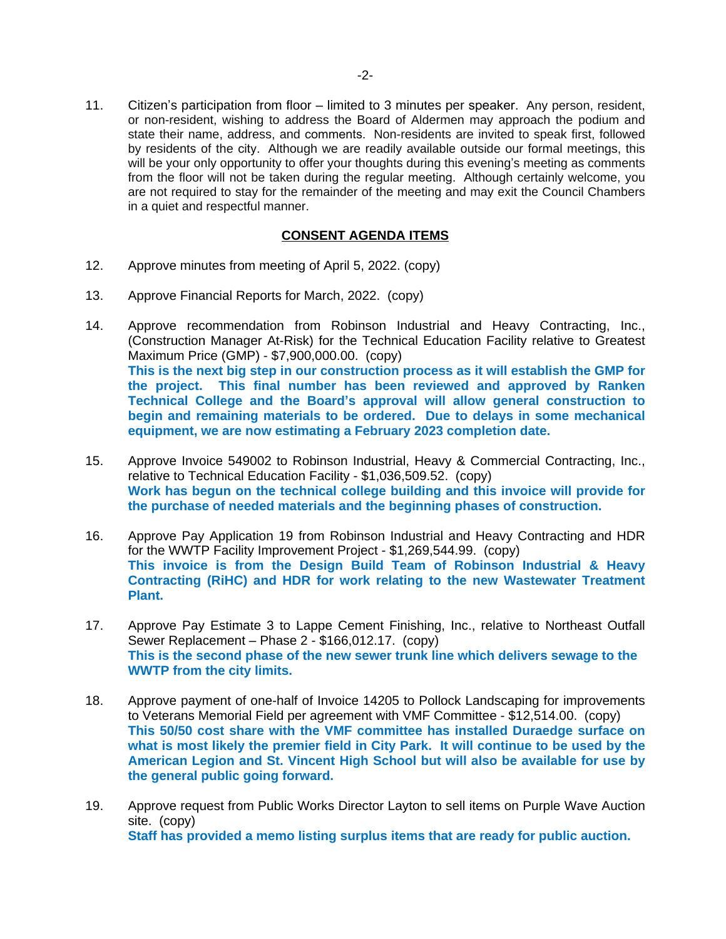11. Citizen's participation from floor – limited to 3 minutes per speaker. Any person, resident, or non-resident, wishing to address the Board of Aldermen may approach the podium and state their name, address, and comments. Non-residents are invited to speak first, followed by residents of the city. Although we are readily available outside our formal meetings, this will be your only opportunity to offer your thoughts during this evening's meeting as comments from the floor will not be taken during the regular meeting. Although certainly welcome, you are not required to stay for the remainder of the meeting and may exit the Council Chambers in a quiet and respectful manner.

## **CONSENT AGENDA ITEMS**

- 12. Approve minutes from meeting of April 5, 2022. (copy)
- 13. Approve Financial Reports for March, 2022. (copy)
- 14. Approve recommendation from Robinson Industrial and Heavy Contracting, Inc., (Construction Manager At-Risk) for the Technical Education Facility relative to Greatest Maximum Price (GMP) - \$7,900,000.00. (copy) **This is the next big step in our construction process as it will establish the GMP for the project. This final number has been reviewed and approved by Ranken Technical College and the Board's approval will allow general construction to begin and remaining materials to be ordered. Due to delays in some mechanical equipment, we are now estimating a February 2023 completion date.**
- 15. Approve Invoice 549002 to Robinson Industrial, Heavy & Commercial Contracting, Inc., relative to Technical Education Facility - \$1,036,509.52. (copy) **Work has begun on the technical college building and this invoice will provide for the purchase of needed materials and the beginning phases of construction.**
- 16. Approve Pay Application 19 from Robinson Industrial and Heavy Contracting and HDR for the WWTP Facility Improvement Project - \$1,269,544.99. (copy) **This invoice is from the Design Build Team of Robinson Industrial & Heavy Contracting (RiHC) and HDR for work relating to the new Wastewater Treatment Plant.**
- 17. Approve Pay Estimate 3 to Lappe Cement Finishing, Inc., relative to Northeast Outfall Sewer Replacement – Phase 2 - \$166,012.17. (copy) **This is the second phase of the new sewer trunk line which delivers sewage to the WWTP from the city limits.**
- 18. Approve payment of one-half of Invoice 14205 to Pollock Landscaping for improvements to Veterans Memorial Field per agreement with VMF Committee - \$12,514.00. (copy) **This 50/50 cost share with the VMF committee has installed Duraedge surface on what is most likely the premier field in City Park. It will continue to be used by the American Legion and St. Vincent High School but will also be available for use by the general public going forward.**
- 19. Approve request from Public Works Director Layton to sell items on Purple Wave Auction site. (copy) **Staff has provided a memo listing surplus items that are ready for public auction.**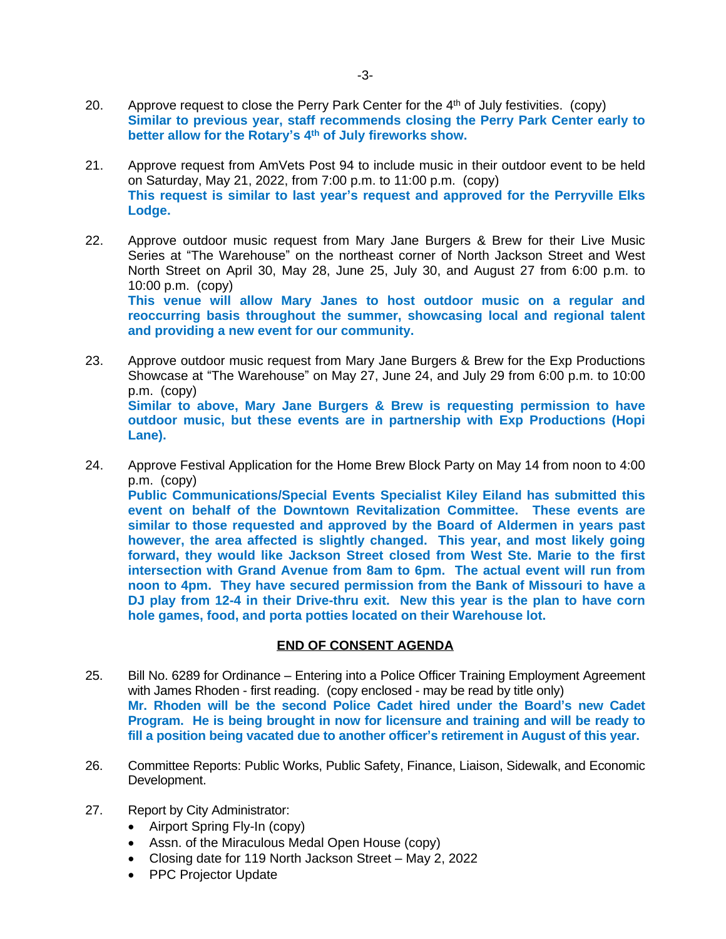- 20. Approve request to close the Perry Park Center for the  $4<sup>th</sup>$  of July festivities. (copy) **Similar to previous year, staff recommends closing the Perry Park Center early to better allow for the Rotary's 4th of July fireworks show.**
- 21. Approve request from AmVets Post 94 to include music in their outdoor event to be held on Saturday, May 21, 2022, from 7:00 p.m. to 11:00 p.m. (copy) **This request is similar to last year's request and approved for the Perryville Elks Lodge.**
- 22. Approve outdoor music request from Mary Jane Burgers & Brew for their Live Music Series at "The Warehouse" on the northeast corner of North Jackson Street and West North Street on April 30, May 28, June 25, July 30, and August 27 from 6:00 p.m. to 10:00 p.m. (copy) **This venue will allow Mary Janes to host outdoor music on a regular and**

**reoccurring basis throughout the summer, showcasing local and regional talent and providing a new event for our community.**

- 23. Approve outdoor music request from Mary Jane Burgers & Brew for the Exp Productions Showcase at "The Warehouse" on May 27, June 24, and July 29 from 6:00 p.m. to 10:00 p.m. (copy) **Similar to above, Mary Jane Burgers & Brew is requesting permission to have outdoor music, but these events are in partnership with Exp Productions (Hopi Lane).**
- 24. Approve Festival Application for the Home Brew Block Party on May 14 from noon to 4:00 p.m. (copy) **Public Communications/Special Events Specialist Kiley Eiland has submitted this event on behalf of the Downtown Revitalization Committee. These events are similar to those requested and approved by the Board of Aldermen in years past however, the area affected is slightly changed. This year, and most likely going forward, they would like Jackson Street closed from West Ste. Marie to the first intersection with Grand Avenue from 8am to 6pm. The actual event will run from noon to 4pm. They have secured permission from the Bank of Missouri to have a DJ play from 12-4 in their Drive-thru exit. New this year is the plan to have corn hole games, food, and porta potties located on their Warehouse lot.**

## **END OF CONSENT AGENDA**

- 25. Bill No. 6289 for Ordinance Entering into a Police Officer Training Employment Agreement with James Rhoden - first reading. (copy enclosed - may be read by title only) **Mr. Rhoden will be the second Police Cadet hired under the Board's new Cadet Program. He is being brought in now for licensure and training and will be ready to fill a position being vacated due to another officer's retirement in August of this year.**
- 26. Committee Reports: Public Works, Public Safety, Finance, Liaison, Sidewalk, and Economic Development.
- 27. Report by City Administrator:
	- Airport Spring Fly-In (copy)
	- Assn. of the Miraculous Medal Open House (copy)
	- Closing date for 119 North Jackson Street May 2, 2022
	- PPC Projector Update